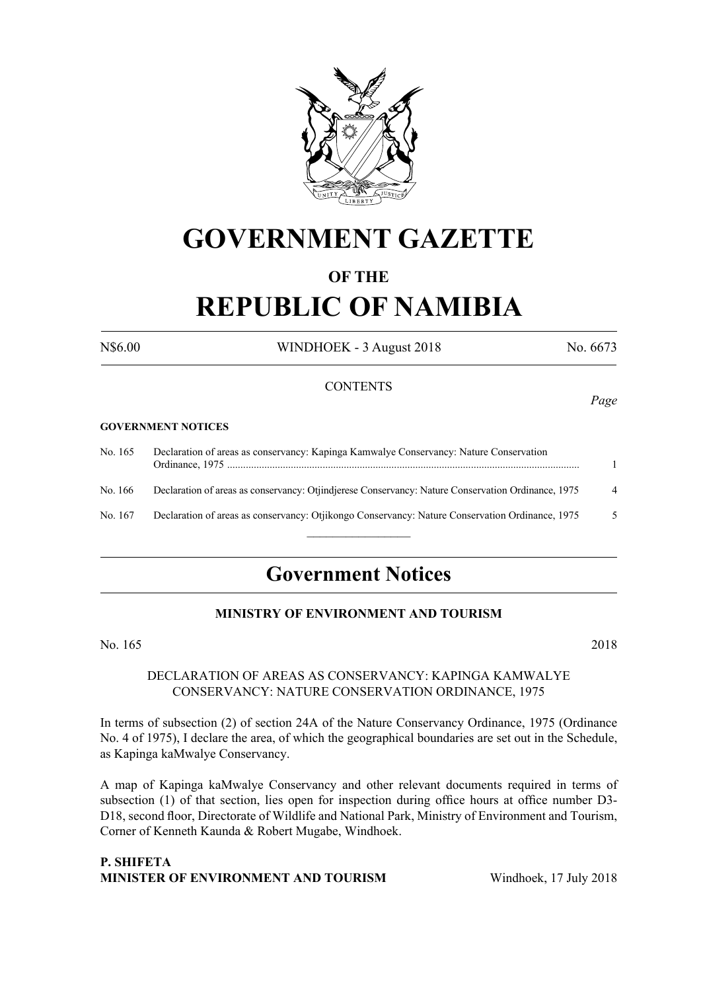

## **GOVERNMENT GAZETTE**

### **OF THE**

# **REPUBLIC OF NAMIBIA**

N\$6.00 WINDHOEK - 3 August 2018 No. 6673

### **CONTENTS**

### **GOVERNMENT NOTICES**

| No. 165 | Declaration of areas as conservancy: Kapinga Kamwalye Conservancy: Nature Conservation             |                |
|---------|----------------------------------------------------------------------------------------------------|----------------|
| No. 166 | Declaration of areas as conservancy: Otiindierese Conservancy: Nature Conservation Ordinance, 1975 | $\overline{4}$ |
| No. 167 | Declaration of areas as conservancy: Otjikongo Conservancy: Nature Conservation Ordinance, 1975    | -5             |
|         |                                                                                                    |                |

## **Government Notices**

### **MINISTRY OF ENVIRONMENT AND TOURISM**

No. 165 2018

### DECLARATION OF AREAS AS CONSERVANCY: KAPINGA KAMWALYE CONSERVANCY: NATURE CONSERVATION ORDINANCE, 1975

In terms of subsection (2) of section 24A of the Nature Conservancy Ordinance, 1975 (Ordinance No. 4 of 1975), I declare the area, of which the geographical boundaries are set out in the Schedule, as Kapinga kaMwalye Conservancy.

A map of Kapinga kaMwalye Conservancy and other relevant documents required in terms of subsection (1) of that section, lies open for inspection during office hours at office number D3- D18, second floor, Directorate of Wildlife and National Park, Ministry of Environment and Tourism, Corner of Kenneth Kaunda & Robert Mugabe, Windhoek.

### **P. Shifeta Minister of Environment and Tourism** Windhoek, 17 July 2018

*Page*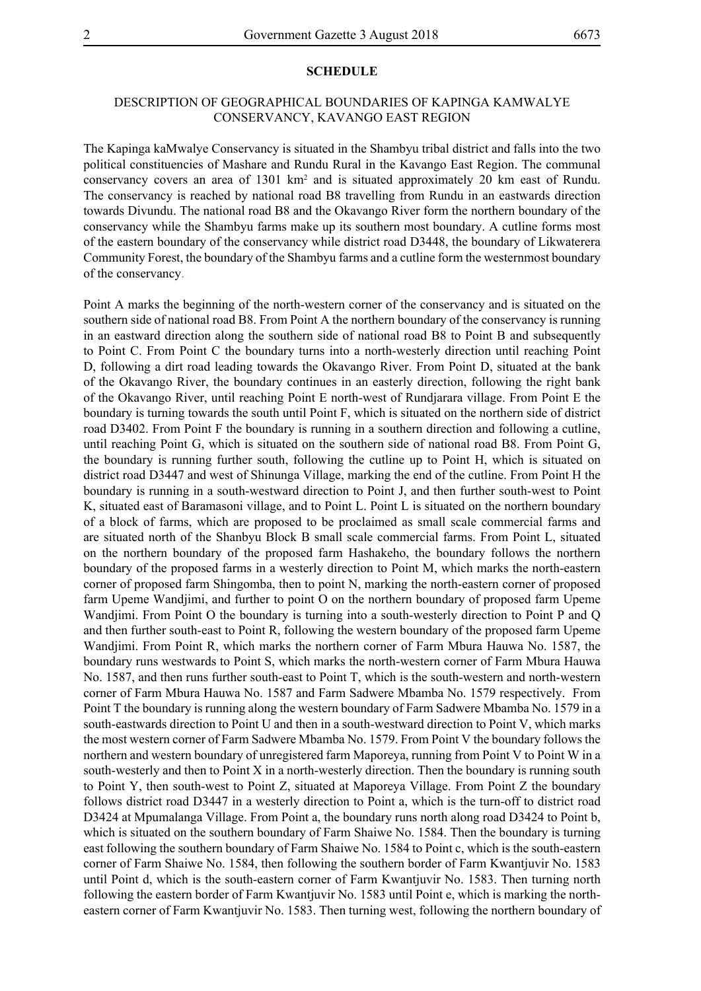### **SCHEDULE**

### DESCRIPTION OF GEOGRAPHICAL BOUNDARIES OF KAPINGA KAMWALYE CONSERVANCY, KAVANGO EAST REGION

The Kapinga kaMwalye Conservancy is situated in the Shambyu tribal district and falls into the two political constituencies of Mashare and Rundu Rural in the Kavango East Region. The communal conservancy covers an area of 1301 km<sup>2</sup> and is situated approximately 20 km east of Rundu. The conservancy is reached by national road B8 travelling from Rundu in an eastwards direction towards Divundu. The national road B8 and the Okavango River form the northern boundary of the conservancy while the Shambyu farms make up its southern most boundary. A cutline forms most of the eastern boundary of the conservancy while district road D3448, the boundary of Likwaterera Community Forest, the boundary of the Shambyu farms and a cutline form the westernmost boundary of the conservancy.

Point A marks the beginning of the north-western corner of the conservancy and is situated on the southern side of national road B8. From Point A the northern boundary of the conservancy is running in an eastward direction along the southern side of national road B8 to Point B and subsequently to Point C. From Point C the boundary turns into a north-westerly direction until reaching Point D, following a dirt road leading towards the Okavango River. From Point D, situated at the bank of the Okavango River, the boundary continues in an easterly direction, following the right bank of the Okavango River, until reaching Point E north-west of Rundjarara village. From Point E the boundary is turning towards the south until Point F, which is situated on the northern side of district road D3402. From Point F the boundary is running in a southern direction and following a cutline, until reaching Point G, which is situated on the southern side of national road B8. From Point G, the boundary is running further south, following the cutline up to Point H, which is situated on district road D3447 and west of Shinunga Village, marking the end of the cutline. From Point H the boundary is running in a south-westward direction to Point J, and then further south-west to Point K, situated east of Baramasoni village, and to Point L. Point L is situated on the northern boundary of a block of farms, which are proposed to be proclaimed as small scale commercial farms and are situated north of the Shanbyu Block B small scale commercial farms. From Point L, situated on the northern boundary of the proposed farm Hashakeho, the boundary follows the northern boundary of the proposed farms in a westerly direction to Point M, which marks the north-eastern corner of proposed farm Shingomba, then to point N, marking the north-eastern corner of proposed farm Upeme Wandjimi, and further to point O on the northern boundary of proposed farm Upeme Wandjimi. From Point O the boundary is turning into a south-westerly direction to Point P and Q and then further south-east to Point R, following the western boundary of the proposed farm Upeme Wandjimi. From Point R, which marks the northern corner of Farm Mbura Hauwa No. 1587, the boundary runs westwards to Point S, which marks the north-western corner of Farm Mbura Hauwa No. 1587, and then runs further south-east to Point T, which is the south-western and north-western corner of Farm Mbura Hauwa No. 1587 and Farm Sadwere Mbamba No. 1579 respectively. From Point T the boundary is running along the western boundary of Farm Sadwere Mbamba No. 1579 in a south-eastwards direction to Point U and then in a south-westward direction to Point V, which marks the most western corner of Farm Sadwere Mbamba No. 1579. From Point V the boundary follows the northern and western boundary of unregistered farm Maporeya, running from Point V to Point W in a south-westerly and then to Point X in a north-westerly direction. Then the boundary is running south to Point Y, then south-west to Point Z, situated at Maporeya Village. From Point Z the boundary follows district road D3447 in a westerly direction to Point a, which is the turn-off to district road D3424 at Mpumalanga Village. From Point a, the boundary runs north along road D3424 to Point b, which is situated on the southern boundary of Farm Shaiwe No. 1584. Then the boundary is turning east following the southern boundary of Farm Shaiwe No. 1584 to Point c, which is the south-eastern corner of Farm Shaiwe No. 1584, then following the southern border of Farm Kwantjuvir No. 1583 until Point d, which is the south-eastern corner of Farm Kwantjuvir No. 1583. Then turning north following the eastern border of Farm Kwantjuvir No. 1583 until Point e, which is marking the northeastern corner of Farm Kwantjuvir No. 1583. Then turning west, following the northern boundary of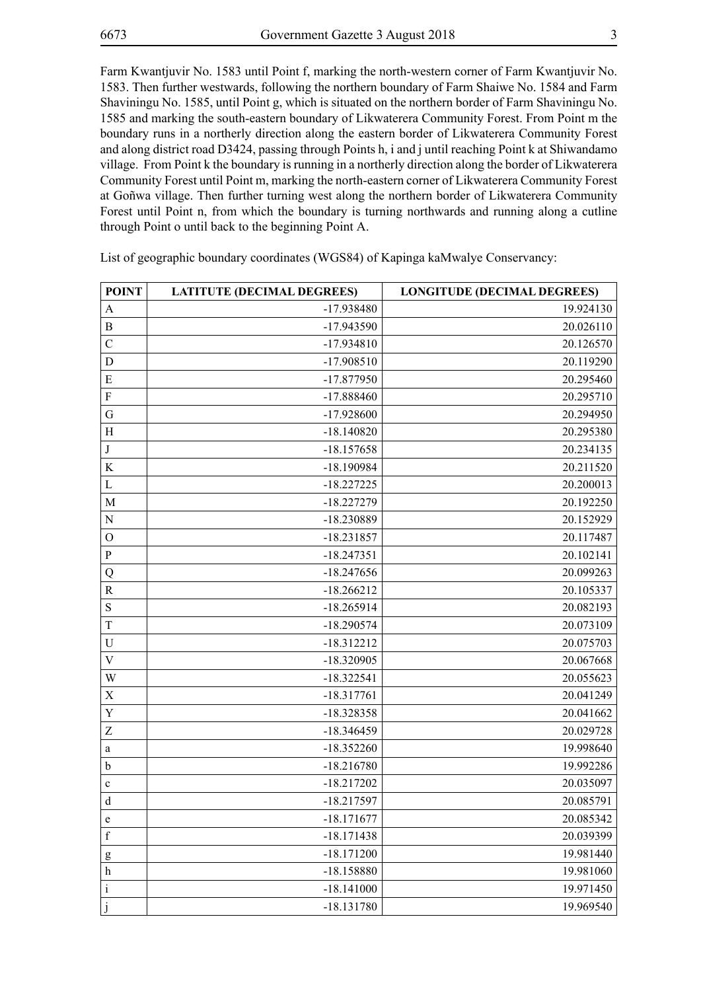Farm Kwantjuvir No. 1583 until Point f, marking the north-western corner of Farm Kwantjuvir No. 1583. Then further westwards, following the northern boundary of Farm Shaiwe No. 1584 and Farm Shaviningu No. 1585, until Point g, which is situated on the northern border of Farm Shaviningu No. 1585 and marking the south-eastern boundary of Likwaterera Community Forest. From Point m the boundary runs in a northerly direction along the eastern border of Likwaterera Community Forest and along district road D3424, passing through Points h, i and j until reaching Point k at Shiwandamo village. From Point k the boundary is running in a northerly direction along the border of Likwaterera Community Forest until Point m, marking the north-eastern corner of Likwaterera Community Forest at Goñwa village. Then further turning west along the northern border of Likwaterera Community Forest until Point n, from which the boundary is turning northwards and running along a cutline through Point o until back to the beginning Point A.

| <b>POINT</b>     | <b>LATITUTE (DECIMAL DEGREES)</b> | <b>LONGITUDE (DECIMAL DEGREES)</b> |
|------------------|-----------------------------------|------------------------------------|
| A                | $-17.938480$                      | 19.924130                          |
| $\mathbf B$      | -17.943590                        | 20.026110                          |
| $\mathcal{C}$    | $-17.934810$                      | 20.126570                          |
| D                | $-17.908510$                      | 20.119290                          |
| E                | $-17.877950$                      | 20.295460                          |
| $\mathbf F$      | $-17.888460$                      | 20.295710                          |
| G                | $-17.928600$                      | 20.294950                          |
| H                | $-18.140820$                      | 20.295380                          |
| $\bf J$          | $-18.157658$                      | 20.234135                          |
| K                | $-18.190984$                      | 20.211520                          |
| $\mathbf{L}$     | $-18.227225$                      | 20.200013                          |
| M                | $-18.227279$                      | 20.192250                          |
| ${\bf N}$        | -18.230889                        | 20.152929                          |
| $\mathcal{O}$    | $-18.231857$                      | 20.117487                          |
| $\, {\bf p}$     | $-18.247351$                      | 20.102141                          |
| Q                | $-18.247656$                      | 20.099263                          |
| $\mathbf R$      | $-18.266212$                      | 20.105337                          |
| ${\bf S}$        | $-18.265914$                      | 20.082193                          |
| T                | $-18.290574$                      | 20.073109                          |
| $\mathbf U$      | $-18.312212$                      | 20.075703                          |
| $\mathbf{V}$     | $-18.320905$                      | 20.067668                          |
| W                | $-18.322541$                      | 20.055623                          |
| X                | $-18.317761$                      | 20.041249                          |
| Y                | $-18.328358$                      | 20.041662                          |
| Z                | $-18.346459$                      | 20.029728                          |
| a                | $-18.352260$                      | 19.998640                          |
| $\mathbf b$      | $-18.216780$                      | 19.992286                          |
| $\mathbf c$      | $-18.217202$                      | 20.035097                          |
| d                | $-18.217597$                      | 20.085791                          |
| e                | $-18.171677$                      | 20.085342                          |
| $\mathbf f$      | $-18.171438$                      | 20.039399                          |
| g                | $-18.171200$                      | 19.981440                          |
| $\boldsymbol{h}$ | $-18.158880$                      | 19.981060                          |
| $\rm i$          | $-18.141000$                      | 19.971450                          |
| j                | $-18.131780$                      | 19.969540                          |

List of geographic boundary coordinates (WGS84) of Kapinga kaMwalye Conservancy: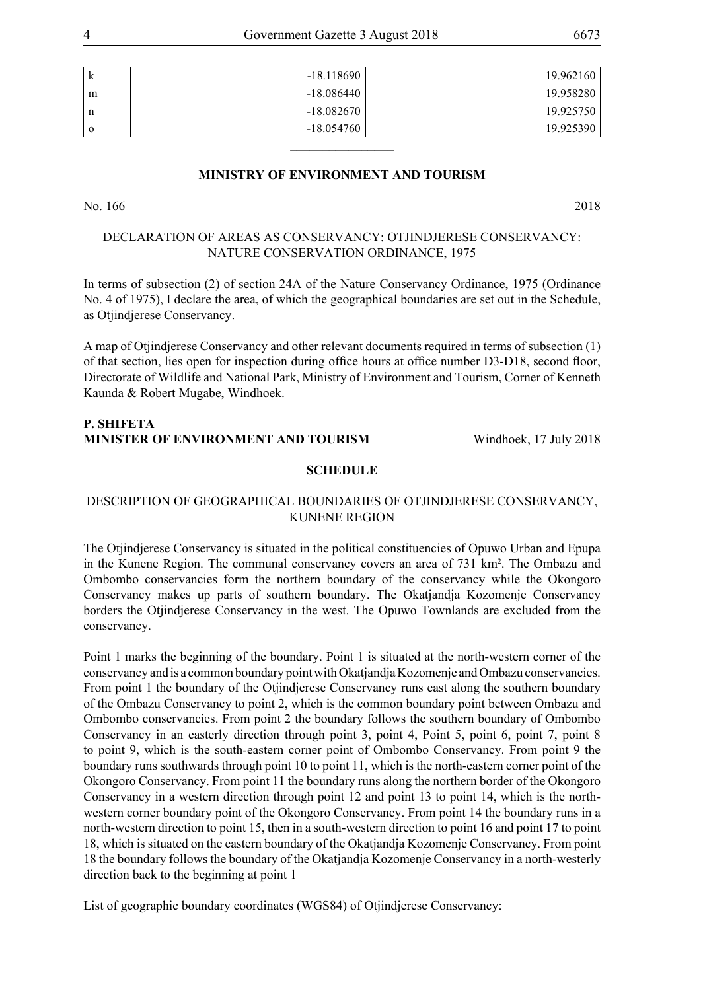| k        | $-18.118690$ | 19.962160 |
|----------|--------------|-----------|
| m        | $-18.086440$ | 19.958280 |
| n        | $-18.082670$ | 19.925750 |
| $\Omega$ | $-18.054760$ | 19.925390 |
|          |              |           |

### **MINISTRY OF ENVIRONMENT AND TOURISM**

No. 166 2018

### DECLARATION OF AREAS AS CONSERVANCY: OTJINDJERESE CONSERVANCY: NATURE CONSERVATION ORDINANCE, 1975

In terms of subsection (2) of section 24A of the Nature Conservancy Ordinance, 1975 (Ordinance No. 4 of 1975), I declare the area, of which the geographical boundaries are set out in the Schedule, as Otjindjerese Conservancy.

A map of Otjindjerese Conservancy and other relevant documents required in terms of subsection (1) of that section, lies open for inspection during office hours at office number D3-D18, second floor, Directorate of Wildlife and National Park, Ministry of Environment and Tourism, Corner of Kenneth Kaunda & Robert Mugabe, Windhoek.

### **P. Shifeta Minister of Environment and Tourism** Windhoek, 17 July 2018

### **SCHEDULE**

### DESCRIPTION OF GEOGRAPHICAL BOUNDARIES OF OTJINDJERESE CONSERVANCY, KUNENE REGION

The Otjindjerese Conservancy is situated in the political constituencies of Opuwo Urban and Epupa in the Kunene Region. The communal conservancy covers an area of 731 km<sup>2</sup>. The Ombazu and Ombombo conservancies form the northern boundary of the conservancy while the Okongoro Conservancy makes up parts of southern boundary. The Okatjandja Kozomenje Conservancy borders the Otjindjerese Conservancy in the west. The Opuwo Townlands are excluded from the conservancy.

Point 1 marks the beginning of the boundary. Point 1 is situated at the north-western corner of the conservancy and is a common boundary point with Okatjandja Kozomenje and Ombazu conservancies. From point 1 the boundary of the Otjindjerese Conservancy runs east along the southern boundary of the Ombazu Conservancy to point 2, which is the common boundary point between Ombazu and Ombombo conservancies. From point 2 the boundary follows the southern boundary of Ombombo Conservancy in an easterly direction through point 3, point 4, Point 5, point 6, point 7, point 8 to point 9, which is the south-eastern corner point of Ombombo Conservancy. From point 9 the boundary runs southwards through point 10 to point 11, which is the north-eastern corner point of the Okongoro Conservancy. From point 11 the boundary runs along the northern border of the Okongoro Conservancy in a western direction through point 12 and point 13 to point 14, which is the northwestern corner boundary point of the Okongoro Conservancy. From point 14 the boundary runs in a north-western direction to point 15, then in a south-western direction to point 16 and point 17 to point 18, which is situated on the eastern boundary of the Okatjandja Kozomenje Conservancy. From point 18 the boundary follows the boundary of the Okatjandja Kozomenje Conservancy in a north-westerly direction back to the beginning at point 1

List of geographic boundary coordinates (WGS84) of Otjindjerese Conservancy: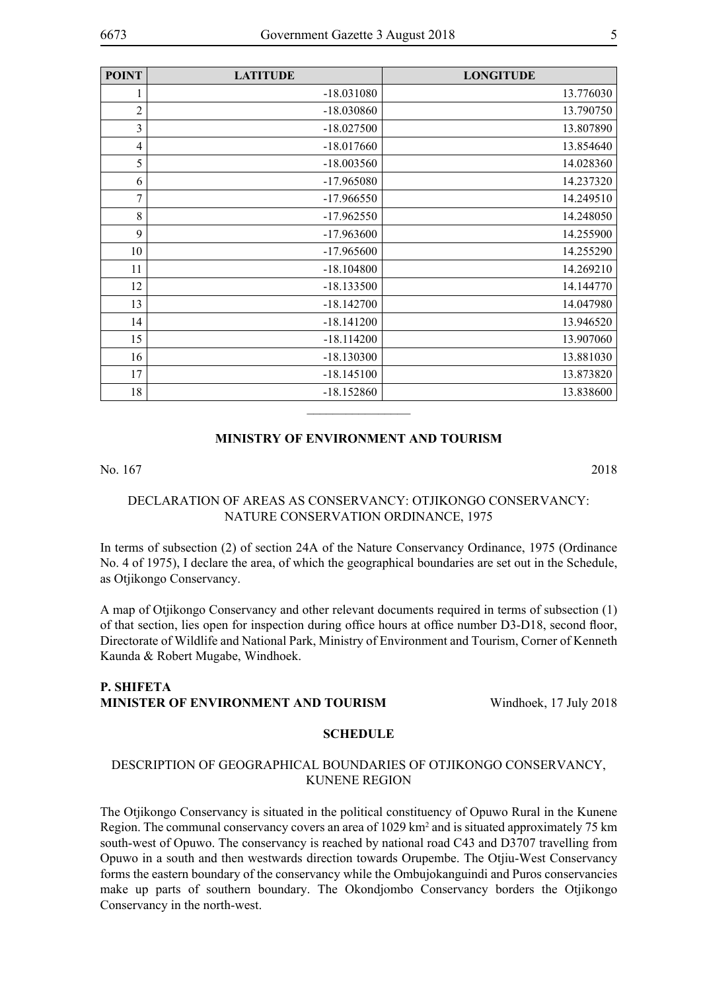| <b>POINT</b> | <b>LATITUDE</b> | <b>LONGITUDE</b> |
|--------------|-----------------|------------------|
| 1            | $-18.031080$    | 13.776030        |
| 2            | $-18.030860$    | 13.790750        |
| 3            | $-18.027500$    | 13.807890        |
| 4            | $-18.017660$    | 13.854640        |
| 5            | $-18.003560$    | 14.028360        |
| 6            | $-17.965080$    | 14.237320        |
| $\tau$       | $-17.966550$    | 14.249510        |
| 8            | $-17.962550$    | 14.248050        |
| 9            | $-17.963600$    | 14.255900        |
| 10           | $-17.965600$    | 14.255290        |
| 11           | $-18.104800$    | 14.269210        |
| 12           | $-18.133500$    | 14.144770        |
| 13           | $-18.142700$    | 14.047980        |
| 14           | $-18.141200$    | 13.946520        |
| 15           | $-18.114200$    | 13.907060        |
| 16           | $-18.130300$    | 13.881030        |
| 17           | $-18.145100$    | 13.873820        |
| 18           | $-18.152860$    | 13.838600        |
|              |                 |                  |

### **MINISTRY OF ENVIRONMENT AND TOURISM**

No. 167 2018

### DECLARATION OF AREAS AS CONSERVANCY: OTJIKONGO CONSERVANCY: NATURE CONSERVATION ORDINANCE, 1975

In terms of subsection (2) of section 24A of the Nature Conservancy Ordinance, 1975 (Ordinance No. 4 of 1975), I declare the area, of which the geographical boundaries are set out in the Schedule, as Otjikongo Conservancy.

A map of Otjikongo Conservancy and other relevant documents required in terms of subsection (1) of that section, lies open for inspection during office hours at office number D3-D18, second floor, Directorate of Wildlife and National Park, Ministry of Environment and Tourism, Corner of Kenneth Kaunda & Robert Mugabe, Windhoek.

### **P. Shifeta Minister of Environment and Tourism** Windhoek, 17 July 2018

### **SCHEDULE**

### DESCRIPTION OF GEOGRAPHICAL BOUNDARIES OF OTJIKONGO CONSERVANCY, KUNENE REGION

The Otjikongo Conservancy is situated in the political constituency of Opuwo Rural in the Kunene Region. The communal conservancy covers an area of 1029 km<sup>2</sup> and is situated approximately 75 km south-west of Opuwo. The conservancy is reached by national road C43 and D3707 travelling from Opuwo in a south and then westwards direction towards Orupembe. The Otjiu-West Conservancy forms the eastern boundary of the conservancy while the Ombujokanguindi and Puros conservancies make up parts of southern boundary. The Okondjombo Conservancy borders the Otjikongo Conservancy in the north-west.